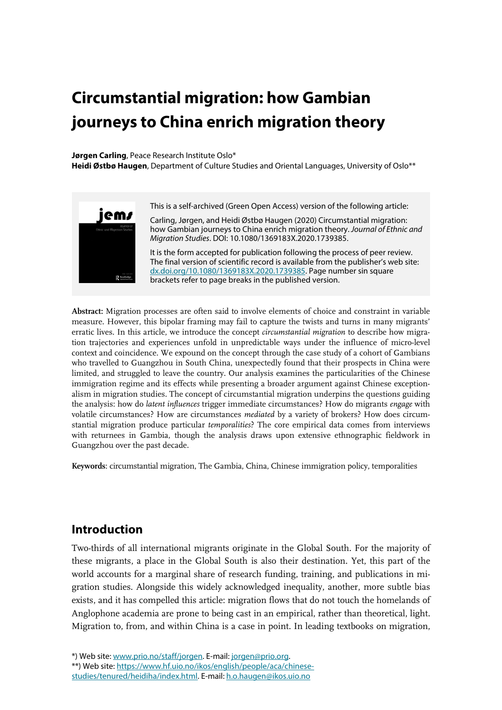# **Circumstantial migration: how Gambian journeys to China enrich migration theory**

**Jørgen Carling**, Peace Research Institute Oslo\*

**Heidi Østbø Haugen**, Department of Culture Studies and Oriental Languages, University of Oslo\*\*



This is a self-archived (Green Open Access) version of the following article:

Carling, Jørgen, and Heidi Østbø Haugen (2020) Circumstantial migration: how Gambian journeys to China enrich migration theory. *Journal of Ethnic and Migration Studies*. DOI: 10.1080/1369183X.2020.1739385.

It is the form accepted for publication following the process of peer review. The final version of scientific record is available from the publisher's web site: [dx.doi.org/10.1080/1369183X.2020.1739385.](http://dx.doi.org/10.1080/1369183X.2020.1739385) Page number sin square brackets refer to page breaks in the published version.

**Abstract:** Migration processes are often said to involve elements of choice and constraint in variable measure. However, this bipolar framing may fail to capture the twists and turns in many migrants' erratic lives. In this article, we introduce the concept *circumstantial migration* to describe how migration trajectories and experiences unfold in unpredictable ways under the influence of micro-level context and coincidence. We expound on the concept through the case study of a cohort of Gambians who travelled to Guangzhou in South China, unexpectedly found that their prospects in China were limited, and struggled to leave the country. Our analysis examines the particularities of the Chinese immigration regime and its effects while presenting a broader argument against Chinese exceptionalism in migration studies. The concept of circumstantial migration underpins the questions guiding the analysis: how do *latent influences* trigger immediate circumstances? How do migrants *engage* with volatile circumstances? How are circumstances *mediated* by a variety of brokers? How does circumstantial migration produce particular *temporalities*? The core empirical data comes from interviews with returnees in Gambia, though the analysis draws upon extensive ethnographic fieldwork in Guangzhou over the past decade.

**Keywords**: circumstantial migration, The Gambia, China, Chinese immigration policy, temporalities

## **Introduction**

Two-thirds of all international migrants originate in the Global South. For the majority of these migrants, a place in the Global South is also their destination. Yet, this part of the world accounts for a marginal share of research funding, training, and publications in migration studies. Alongside this widely acknowledged inequality, another, more subtle bias exists, and it has compelled this article: migration flows that do not touch the homelands of Anglophone academia are prone to being cast in an empirical, rather than theoretical, light. Migration to, from, and within China is a case in point. In leading textbooks on migration,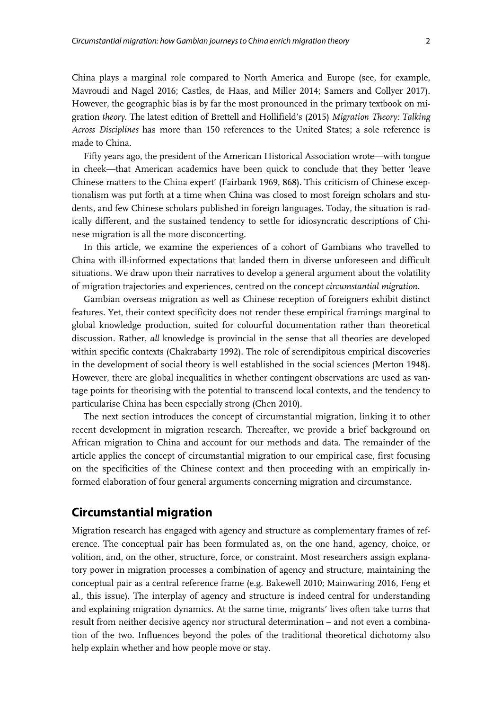China plays a marginal role compared to North America and Europe (see, for example, Mavroudi and Nagel 2016; Castles, de Haas, and Miller 2014; Samers and Collyer 2017). However, the geographic bias is by far the most pronounced in the primary textbook on migration *theory*. The latest edition of Brettell and Hollifield's (2015) *Migration Theory: Talking Across Disciplines* has more than 150 references to the United States; a sole reference is made to China.

Fifty years ago, the president of the American Historical Association wrote—with tongue in cheek—that American academics have been quick to conclude that they better 'leave Chinese matters to the China expert' (Fairbank 1969, 868). This criticism of Chinese exceptionalism was put forth at a time when China was closed to most foreign scholars and students, and few Chinese scholars published in foreign languages. Today, the situation is radically different, and the sustained tendency to settle for idiosyncratic descriptions of Chinese migration is all the more disconcerting.

In this article, we examine the experiences of a cohort of Gambians who travelled to China with ill-informed expectations that landed them in diverse unforeseen and difficult situations. We draw upon their narratives to develop a general argument about the volatility of migration trajectories and experiences, centred on the concept *circumstantial migration*.

Gambian overseas migration as well as Chinese reception of foreigners exhibit distinct features. Yet, their context specificity does not render these empirical framings marginal to global knowledge production, suited for colourful documentation rather than theoretical discussion. Rather, *all* knowledge is provincial in the sense that all theories are developed within specific contexts (Chakrabarty 1992). The role of serendipitous empirical discoveries in the development of social theory is well established in the social sciences (Merton 1948). However, there are global inequalities in whether contingent observations are used as vantage points for theorising with the potential to transcend local contexts, and the tendency to particularise China has been especially strong (Chen 2010).

The next section introduces the concept of circumstantial migration, linking it to other recent development in migration research. Thereafter, we provide a brief background on African migration to China and account for our methods and data. The remainder of the article applies the concept of circumstantial migration to our empirical case, first focusing on the specificities of the Chinese context and then proceeding with an empirically informed elaboration of four general arguments concerning migration and circumstance.

## **Circumstantial migration**

Migration research has engaged with agency and structure as complementary frames of reference. The conceptual pair has been formulated as, on the one hand, agency, choice, or volition, and, on the other, structure, force, or constraint. Most researchers assign explanatory power in migration processes a combination of agency and structure, maintaining the conceptual pair as a central reference frame (e.g. Bakewell 2010; Mainwaring 2016, Feng et al., this issue). The interplay of agency and structure is indeed central for understanding and explaining migration dynamics. At the same time, migrants' lives often take turns that result from neither decisive agency nor structural determination – and not even a combination of the two. Influences beyond the poles of the traditional theoretical dichotomy also help explain whether and how people move or stay.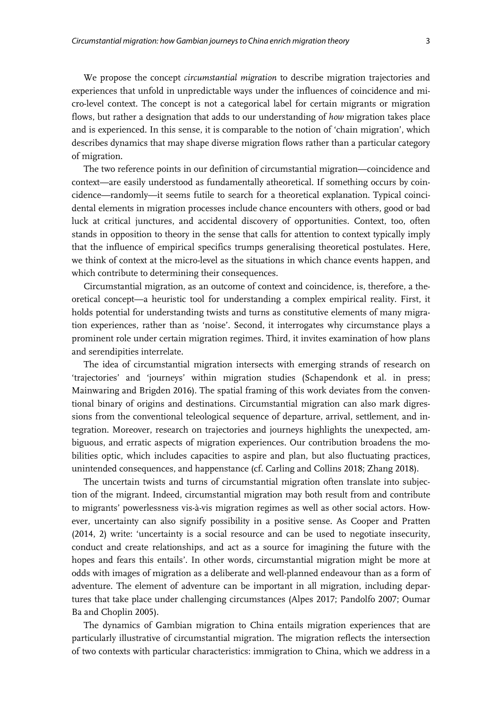We propose the concept *circumstantial migration* to describe migration trajectories and experiences that unfold in unpredictable ways under the influences of coincidence and micro-level context. The concept is not a categorical label for certain migrants or migration flows, but rather a designation that adds to our understanding of *how* migration takes place and is experienced. In this sense, it is comparable to the notion of 'chain migration', which describes dynamics that may shape diverse migration flows rather than a particular category of migration.

The two reference points in our definition of circumstantial migration—coincidence and context—are easily understood as fundamentally atheoretical. If something occurs by coincidence—randomly—it seems futile to search for a theoretical explanation. Typical coincidental elements in migration processes include chance encounters with others, good or bad luck at critical junctures, and accidental discovery of opportunities. Context, too, often stands in opposition to theory in the sense that calls for attention to context typically imply that the influence of empirical specifics trumps generalising theoretical postulates. Here, we think of context at the micro-level as the situations in which chance events happen, and which contribute to determining their consequences.

Circumstantial migration, as an outcome of context and coincidence, is, therefore, a theoretical concept—a heuristic tool for understanding a complex empirical reality. First, it holds potential for understanding twists and turns as constitutive elements of many migration experiences, rather than as 'noise'. Second, it interrogates why circumstance plays a prominent role under certain migration regimes. Third, it invites examination of how plans and serendipities interrelate.

The idea of circumstantial migration intersects with emerging strands of research on 'trajectories' and 'journeys' within migration studies (Schapendonk et al. in press; Mainwaring and Brigden 2016). The spatial framing of this work deviates from the conventional binary of origins and destinations. Circumstantial migration can also mark digressions from the conventional teleological sequence of departure, arrival, settlement, and integration. Moreover, research on trajectories and journeys highlights the unexpected, ambiguous, and erratic aspects of migration experiences. Our contribution broadens the mobilities optic, which includes capacities to aspire and plan, but also fluctuating practices, unintended consequences, and happenstance (cf. Carling and Collins 2018; Zhang 2018).

The uncertain twists and turns of circumstantial migration often translate into subjection of the migrant. Indeed, circumstantial migration may both result from and contribute to migrants' powerlessness vis-à-vis migration regimes as well as other social actors. However, uncertainty can also signify possibility in a positive sense. As Cooper and Pratten (2014, 2) write: 'uncertainty is a social resource and can be used to negotiate insecurity, conduct and create relationships, and act as a source for imagining the future with the hopes and fears this entails'. In other words, circumstantial migration might be more at odds with images of migration as a deliberate and well-planned endeavour than as a form of adventure. The element of adventure can be important in all migration, including departures that take place under challenging circumstances (Alpes 2017; Pandolfo 2007; Oumar Ba and Choplin 2005).

The dynamics of Gambian migration to China entails migration experiences that are particularly illustrative of circumstantial migration. The migration reflects the intersection of two contexts with particular characteristics: immigration to China, which we address in a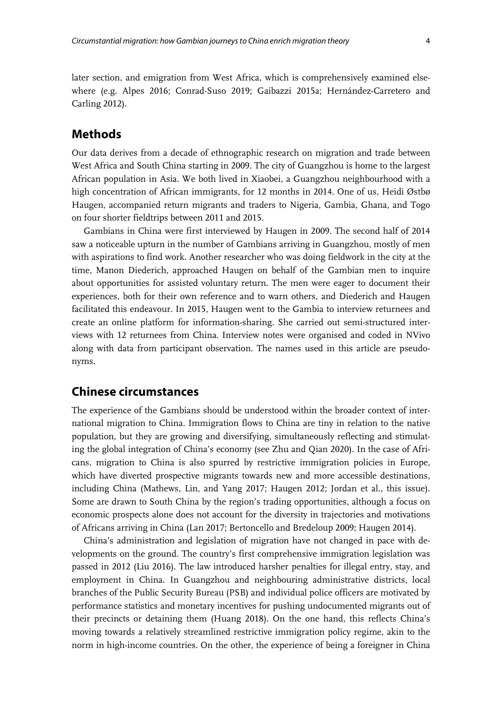later section, and emigration from West Africa, which is comprehensively examined elsewhere (e.g. Alpes 2016; Conrad-Suso 2019; Gaibazzi 2015a; Hernández-Carretero and Carling 2012).

## **Methods**

Our data derives from a decade of ethnographic research on migration and trade between West Africa and South China starting in 2009. The city of Guangzhou is home to the largest African population in Asia. We both lived in Xiaobei, a Guangzhou neighbourhood with a high concentration of African immigrants, for 12 months in 2014. One of us, Heidi Østbø Haugen, accompanied return migrants and traders to Nigeria, Gambia, Ghana, and Togo on four shorter fieldtrips between 2011 and 2015.

Gambians in China were first interviewed by Haugen in 2009. The second half of 2014 saw a noticeable upturn in the number of Gambians arriving in Guangzhou, mostly of men with aspirations to find work. Another researcher who was doing fieldwork in the city at the time, Manon Diederich, approached Haugen on behalf of the Gambian men to inquire about opportunities for assisted voluntary return. The men were eager to document their experiences, both for their own reference and to warn others, and Diederich and Haugen facilitated this endeavour. In 2015, Haugen went to the Gambia to interview returnees and create an online platform for information-sharing. She carried out semi-structured interviews with 12 returnees from China. Interview notes were organised and coded in NVivo along with data from participant observation. The names used in this article are pseudonyms.

## **Chinese circumstances**

The experience of the Gambians should be understood within the broader context of international migration to China. Immigration flows to China are tiny in relation to the native population, but they are growing and diversifying, simultaneously reflecting and stimulating the global integration of China's economy (see Zhu and Qian 2020). In the case of Africans, migration to China is also spurred by restrictive immigration policies in Europe, which have diverted prospective migrants towards new and more accessible destinations, including China (Mathews, Lin, and Yang 2017; Haugen 2012; Jordan et al., this issue). Some are drawn to South China by the region's trading opportunities, although a focus on economic prospects alone does not account for the diversity in trajectories and motivations of Africans arriving in China (Lan 2017; Bertoncello and Bredeloup 2009; Haugen 2014).

China's administration and legislation of migration have not changed in pace with developments on the ground. The country's first comprehensive immigration legislation was passed in 2012 (Liu 2016). The law introduced harsher penalties for illegal entry, stay, and employment in China. In Guangzhou and neighbouring administrative districts, local branches of the Public Security Bureau (PSB) and individual police officers are motivated by performance statistics and monetary incentives for pushing undocumented migrants out of their precincts or detaining them (Huang 2018). On the one hand, this reflects China's moving towards a relatively streamlined restrictive immigration policy regime, akin to the norm in high-income countries. On the other, the experience of being a foreigner in China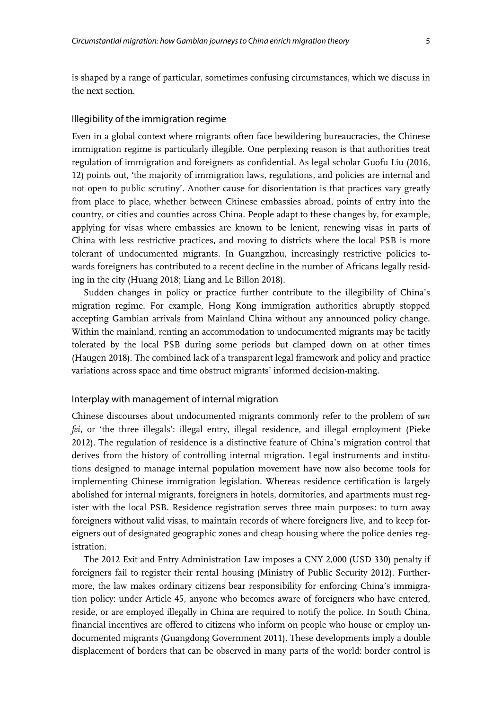is shaped by a range of particular, sometimes confusing circumstances, which we discuss in the next section.

#### Illegibility of the immigration regime

Even in a global context where migrants often face bewildering bureaucracies, the Chinese immigration regime is particularly illegible. One perplexing reason is that authorities treat regulation of immigration and foreigners as confidential. As legal scholar Guofu Liu (2016, 12) points out, 'the majority of immigration laws, regulations, and policies are internal and not open to public scrutiny'. Another cause for disorientation is that practices vary greatly from place to place, whether between Chinese embassies abroad, points of entry into the country, or cities and counties across China. People adapt to these changes by, for example, applying for visas where embassies are known to be lenient, renewing visas in parts of China with less restrictive practices, and moving to districts where the local PSB is more tolerant of undocumented migrants. In Guangzhou, increasingly restrictive policies towards foreigners has contributed to a recent decline in the number of Africans legally residing in the city (Huang 2018; Liang and Le Billon 2018).

Sudden changes in policy or practice further contribute to the illegibility of China's migration regime. For example, Hong Kong immigration authorities abruptly stopped accepting Gambian arrivals from Mainland China without any announced policy change. Within the mainland, renting an accommodation to undocumented migrants may be tacitly tolerated by the local PSB during some periods but clamped down on at other times (Haugen 2018). The combined lack of a transparent legal framework and policy and practice variations across space and time obstruct migrants' informed decision-making.

#### Interplay with management of internal migration

Chinese discourses about undocumented migrants commonly refer to the problem of *san fei*, or 'the three illegals': illegal entry, illegal residence, and illegal employment (Pieke 2012). The regulation of residence is a distinctive feature of China's migration control that derives from the history of controlling internal migration. Legal instruments and institutions designed to manage internal population movement have now also become tools for implementing Chinese immigration legislation. Whereas residence certification is largely abolished for internal migrants, foreigners in hotels, dormitories, and apartments must register with the local PSB. Residence registration serves three main purposes: to turn away foreigners without valid visas, to maintain records of where foreigners live, and to keep foreigners out of designated geographic zones and cheap housing where the police denies registration.

The 2012 Exit and Entry Administration Law imposes a CNY 2,000 (USD 330) penalty if foreigners fail to register their rental housing (Ministry of Public Security 2012). Furthermore, the law makes ordinary citizens bear responsibility for enforcing China's immigration policy: under Article 45, anyone who becomes aware of foreigners who have entered, reside, or are employed illegally in China are required to notify the police. In South China, financial incentives are offered to citizens who inform on people who house or employ undocumented migrants (Guangdong Government 2011). These developments imply a double displacement of borders that can be observed in many parts of the world: border control is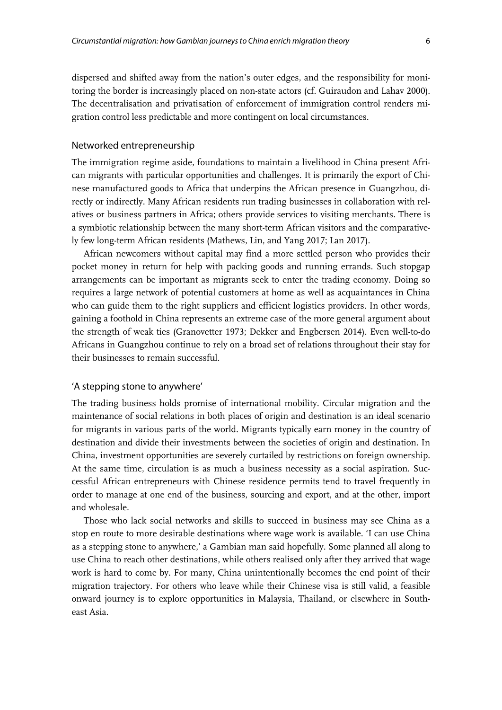dispersed and shifted away from the nation's outer edges, and the responsibility for monitoring the border is increasingly placed on non-state actors (cf. Guiraudon and Lahav 2000). The decentralisation and privatisation of enforcement of immigration control renders migration control less predictable and more contingent on local circumstances.

#### Networked entrepreneurship

The immigration regime aside, foundations to maintain a livelihood in China present African migrants with particular opportunities and challenges. It is primarily the export of Chinese manufactured goods to Africa that underpins the African presence in Guangzhou, directly or indirectly. Many African residents run trading businesses in collaboration with relatives or business partners in Africa; others provide services to visiting merchants. There is a symbiotic relationship between the many short-term African visitors and the comparatively few long-term African residents (Mathews, Lin, and Yang 2017; Lan 2017).

African newcomers without capital may find a more settled person who provides their pocket money in return for help with packing goods and running errands. Such stopgap arrangements can be important as migrants seek to enter the trading economy. Doing so requires a large network of potential customers at home as well as acquaintances in China who can guide them to the right suppliers and efficient logistics providers. In other words, gaining a foothold in China represents an extreme case of the more general argument about the strength of weak ties (Granovetter 1973; Dekker and Engbersen 2014). Even well-to-do Africans in Guangzhou continue to rely on a broad set of relations throughout their stay for their businesses to remain successful.

#### 'A stepping stone to anywhere'

The trading business holds promise of international mobility. Circular migration and the maintenance of social relations in both places of origin and destination is an ideal scenario for migrants in various parts of the world. Migrants typically earn money in the country of destination and divide their investments between the societies of origin and destination. In China, investment opportunities are severely curtailed by restrictions on foreign ownership. At the same time, circulation is as much a business necessity as a social aspiration. Successful African entrepreneurs with Chinese residence permits tend to travel frequently in order to manage at one end of the business, sourcing and export, and at the other, import and wholesale.

Those who lack social networks and skills to succeed in business may see China as a stop en route to more desirable destinations where wage work is available. 'I can use China as a stepping stone to anywhere,' a Gambian man said hopefully. Some planned all along to use China to reach other destinations, while others realised only after they arrived that wage work is hard to come by. For many, China unintentionally becomes the end point of their migration trajectory. For others who leave while their Chinese visa is still valid, a feasible onward journey is to explore opportunities in Malaysia, Thailand, or elsewhere in Southeast Asia.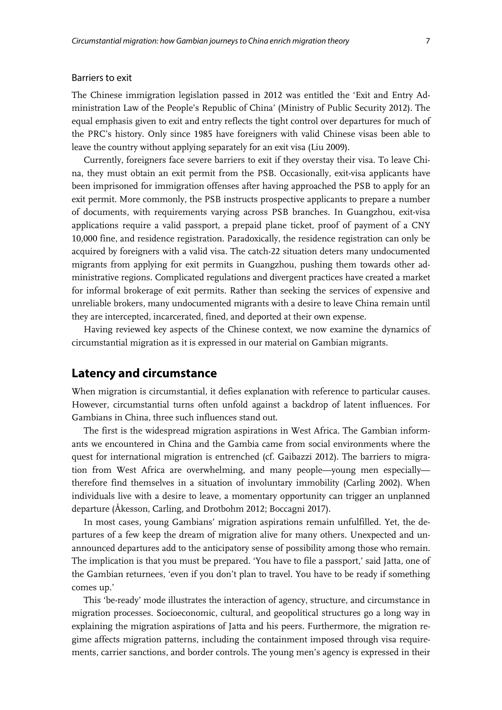#### Barriers to exit

The Chinese immigration legislation passed in 2012 was entitled the 'Exit and Entry Administration Law of the People's Republic of China' (Ministry of Public Security 2012). The equal emphasis given to exit and entry reflects the tight control over departures for much of the PRC's history. Only since 1985 have foreigners with valid Chinese visas been able to leave the country without applying separately for an exit visa (Liu 2009).

Currently, foreigners face severe barriers to exit if they overstay their visa. To leave China, they must obtain an exit permit from the PSB. Occasionally, exit-visa applicants have been imprisoned for immigration offenses after having approached the PSB to apply for an exit permit. More commonly, the PSB instructs prospective applicants to prepare a number of documents, with requirements varying across PSB branches. In Guangzhou, exit-visa applications require a valid passport, a prepaid plane ticket, proof of payment of a CNY 10,000 fine, and residence registration. Paradoxically, the residence registration can only be acquired by foreigners with a valid visa. The catch-22 situation deters many undocumented migrants from applying for exit permits in Guangzhou, pushing them towards other administrative regions. Complicated regulations and divergent practices have created a market for informal brokerage of exit permits. Rather than seeking the services of expensive and unreliable brokers, many undocumented migrants with a desire to leave China remain until they are intercepted, incarcerated, fined, and deported at their own expense.

Having reviewed key aspects of the Chinese context, we now examine the dynamics of circumstantial migration as it is expressed in our material on Gambian migrants.

## **Latency and circumstance**

When migration is circumstantial, it defies explanation with reference to particular causes. However, circumstantial turns often unfold against a backdrop of latent influences. For Gambians in China, three such influences stand out.

The first is the widespread migration aspirations in West Africa. The Gambian informants we encountered in China and the Gambia came from social environments where the quest for international migration is entrenched (cf. Gaibazzi 2012). The barriers to migration from West Africa are overwhelming, and many people—young men especially therefore find themselves in a situation of involuntary immobility (Carling 2002). When individuals live with a desire to leave, a momentary opportunity can trigger an unplanned departure (Åkesson, Carling, and Drotbohm 2012; Boccagni 2017).

In most cases, young Gambians' migration aspirations remain unfulfilled. Yet, the departures of a few keep the dream of migration alive for many others. Unexpected and unannounced departures add to the anticipatory sense of possibility among those who remain. The implication is that you must be prepared. 'You have to file a passport,' said Jatta, one of the Gambian returnees, 'even if you don't plan to travel. You have to be ready if something comes up.'

This 'be-ready' mode illustrates the interaction of agency, structure, and circumstance in migration processes. Socioeconomic, cultural, and geopolitical structures go a long way in explaining the migration aspirations of Jatta and his peers. Furthermore, the migration regime affects migration patterns, including the containment imposed through visa requirements, carrier sanctions, and border controls. The young men's agency is expressed in their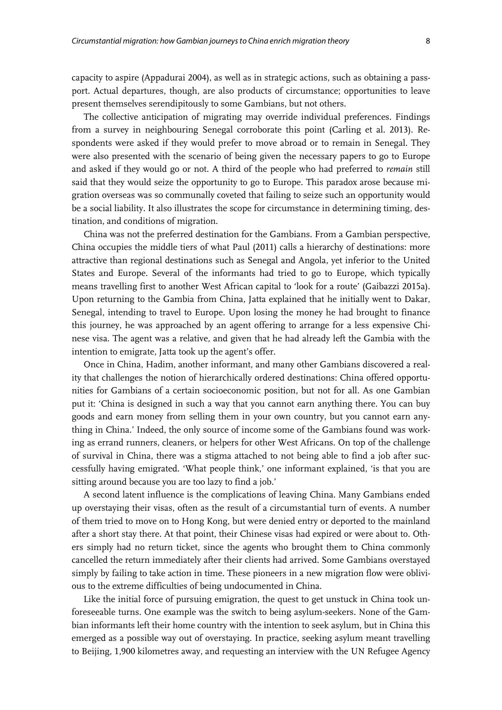capacity to aspire (Appadurai 2004), as well as in strategic actions, such as obtaining a passport. Actual departures, though, are also products of circumstance; opportunities to leave present themselves serendipitously to some Gambians, but not others.

The collective anticipation of migrating may override individual preferences. Findings from a survey in neighbouring Senegal corroborate this point (Carling et al. 2013). Respondents were asked if they would prefer to move abroad or to remain in Senegal. They were also presented with the scenario of being given the necessary papers to go to Europe and asked if they would go or not. A third of the people who had preferred to *remain* still said that they would seize the opportunity to go to Europe. This paradox arose because migration overseas was so communally coveted that failing to seize such an opportunity would be a social liability. It also illustrates the scope for circumstance in determining timing, destination, and conditions of migration.

China was not the preferred destination for the Gambians. From a Gambian perspective, China occupies the middle tiers of what Paul (2011) calls a hierarchy of destinations: more attractive than regional destinations such as Senegal and Angola, yet inferior to the United States and Europe. Several of the informants had tried to go to Europe, which typically means travelling first to another West African capital to 'look for a route' (Gaibazzi 2015a). Upon returning to the Gambia from China, Jatta explained that he initially went to Dakar, Senegal, intending to travel to Europe. Upon losing the money he had brought to finance this journey, he was approached by an agent offering to arrange for a less expensive Chinese visa. The agent was a relative, and given that he had already left the Gambia with the intention to emigrate, Jatta took up the agent's offer.

Once in China, Hadim, another informant, and many other Gambians discovered a reality that challenges the notion of hierarchically ordered destinations: China offered opportunities for Gambians of a certain socioeconomic position, but not for all. As one Gambian put it: 'China is designed in such a way that you cannot earn anything there. You can buy goods and earn money from selling them in your own country, but you cannot earn anything in China.' Indeed, the only source of income some of the Gambians found was working as errand runners, cleaners, or helpers for other West Africans. On top of the challenge of survival in China, there was a stigma attached to not being able to find a job after successfully having emigrated. 'What people think,' one informant explained, 'is that you are sitting around because you are too lazy to find a job.'

A second latent influence is the complications of leaving China. Many Gambians ended up overstaying their visas, often as the result of a circumstantial turn of events. A number of them tried to move on to Hong Kong, but were denied entry or deported to the mainland after a short stay there. At that point, their Chinese visas had expired or were about to. Others simply had no return ticket, since the agents who brought them to China commonly cancelled the return immediately after their clients had arrived. Some Gambians overstayed simply by failing to take action in time. These pioneers in a new migration flow were oblivious to the extreme difficulties of being undocumented in China.

Like the initial force of pursuing emigration, the quest to get unstuck in China took unforeseeable turns. One example was the switch to being asylum-seekers. None of the Gambian informants left their home country with the intention to seek asylum, but in China this emerged as a possible way out of overstaying. In practice, seeking asylum meant travelling to Beijing, 1,900 kilometres away, and requesting an interview with the UN Refugee Agency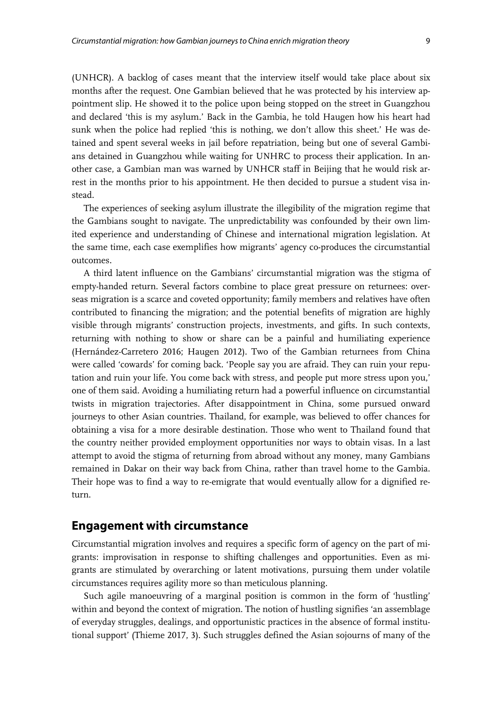(UNHCR). A backlog of cases meant that the interview itself would take place about six months after the request. One Gambian believed that he was protected by his interview appointment slip. He showed it to the police upon being stopped on the street in Guangzhou and declared 'this is my asylum.' Back in the Gambia, he told Haugen how his heart had sunk when the police had replied 'this is nothing, we don't allow this sheet.' He was detained and spent several weeks in jail before repatriation, being but one of several Gambians detained in Guangzhou while waiting for UNHRC to process their application. In another case, a Gambian man was warned by UNHCR staff in Beijing that he would risk arrest in the months prior to his appointment. He then decided to pursue a student visa instead.

The experiences of seeking asylum illustrate the illegibility of the migration regime that the Gambians sought to navigate. The unpredictability was confounded by their own limited experience and understanding of Chinese and international migration legislation. At the same time, each case exemplifies how migrants' agency co-produces the circumstantial outcomes.

A third latent influence on the Gambians' circumstantial migration was the stigma of empty-handed return. Several factors combine to place great pressure on returnees: overseas migration is a scarce and coveted opportunity; family members and relatives have often contributed to financing the migration; and the potential benefits of migration are highly visible through migrants' construction projects, investments, and gifts. In such contexts, returning with nothing to show or share can be a painful and humiliating experience (Hernández-Carretero 2016; Haugen 2012). Two of the Gambian returnees from China were called 'cowards' for coming back. 'People say you are afraid. They can ruin your reputation and ruin your life. You come back with stress, and people put more stress upon you,' one of them said. Avoiding a humiliating return had a powerful influence on circumstantial twists in migration trajectories. After disappointment in China, some pursued onward journeys to other Asian countries. Thailand, for example, was believed to offer chances for obtaining a visa for a more desirable destination. Those who went to Thailand found that the country neither provided employment opportunities nor ways to obtain visas. In a last attempt to avoid the stigma of returning from abroad without any money, many Gambians remained in Dakar on their way back from China, rather than travel home to the Gambia. Their hope was to find a way to re-emigrate that would eventually allow for a dignified return.

### **Engagement with circumstance**

Circumstantial migration involves and requires a specific form of agency on the part of migrants: improvisation in response to shifting challenges and opportunities. Even as migrants are stimulated by overarching or latent motivations, pursuing them under volatile circumstances requires agility more so than meticulous planning.

Such agile manoeuvring of a marginal position is common in the form of 'hustling' within and beyond the context of migration. The notion of hustling signifies 'an assemblage of everyday struggles, dealings, and opportunistic practices in the absence of formal institutional support' (Thieme 2017, 3). Such struggles defined the Asian sojourns of many of the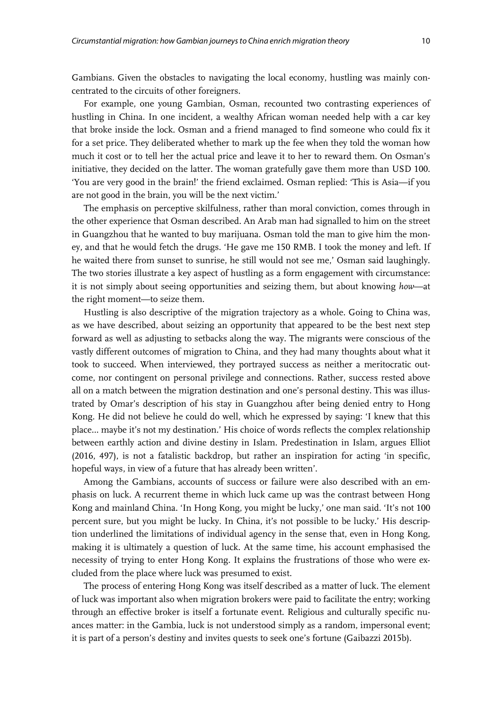Gambians. Given the obstacles to navigating the local economy, hustling was mainly concentrated to the circuits of other foreigners.

For example, one young Gambian, Osman, recounted two contrasting experiences of hustling in China. In one incident, a wealthy African woman needed help with a car key that broke inside the lock. Osman and a friend managed to find someone who could fix it for a set price. They deliberated whether to mark up the fee when they told the woman how much it cost or to tell her the actual price and leave it to her to reward them. On Osman's initiative, they decided on the latter. The woman gratefully gave them more than USD 100. 'You are very good in the brain!' the friend exclaimed. Osman replied: 'This is Asia—if you are not good in the brain, you will be the next victim.'

The emphasis on perceptive skilfulness, rather than moral conviction, comes through in the other experience that Osman described. An Arab man had signalled to him on the street in Guangzhou that he wanted to buy marijuana. Osman told the man to give him the money, and that he would fetch the drugs. 'He gave me 150 RMB. I took the money and left. If he waited there from sunset to sunrise, he still would not see me,' Osman said laughingly. The two stories illustrate a key aspect of hustling as a form engagement with circumstance: it is not simply about seeing opportunities and seizing them, but about knowing *how*—at the right moment—to seize them.

Hustling is also descriptive of the migration trajectory as a whole. Going to China was, as we have described, about seizing an opportunity that appeared to be the best next step forward as well as adjusting to setbacks along the way. The migrants were conscious of the vastly different outcomes of migration to China, and they had many thoughts about what it took to succeed. When interviewed, they portrayed success as neither a meritocratic outcome, nor contingent on personal privilege and connections. Rather, success rested above all on a match between the migration destination and one's personal destiny. This was illustrated by Omar's description of his stay in Guangzhou after being denied entry to Hong Kong. He did not believe he could do well, which he expressed by saying: 'I knew that this place… maybe it's not my destination.' His choice of words reflects the complex relationship between earthly action and divine destiny in Islam. Predestination in Islam, argues Elliot (2016, 497), is not a fatalistic backdrop, but rather an inspiration for acting 'in specific, hopeful ways, in view of a future that has already been written'.

Among the Gambians, accounts of success or failure were also described with an emphasis on luck. A recurrent theme in which luck came up was the contrast between Hong Kong and mainland China. 'In Hong Kong, you might be lucky,' one man said. 'It's not 100 percent sure, but you might be lucky. In China, it's not possible to be lucky.' His description underlined the limitations of individual agency in the sense that, even in Hong Kong, making it is ultimately a question of luck. At the same time, his account emphasised the necessity of trying to enter Hong Kong. It explains the frustrations of those who were excluded from the place where luck was presumed to exist.

The process of entering Hong Kong was itself described as a matter of luck. The element of luck was important also when migration brokers were paid to facilitate the entry; working through an effective broker is itself a fortunate event. Religious and culturally specific nuances matter: in the Gambia, luck is not understood simply as a random, impersonal event; it is part of a person's destiny and invites quests to seek one's fortune (Gaibazzi 2015b).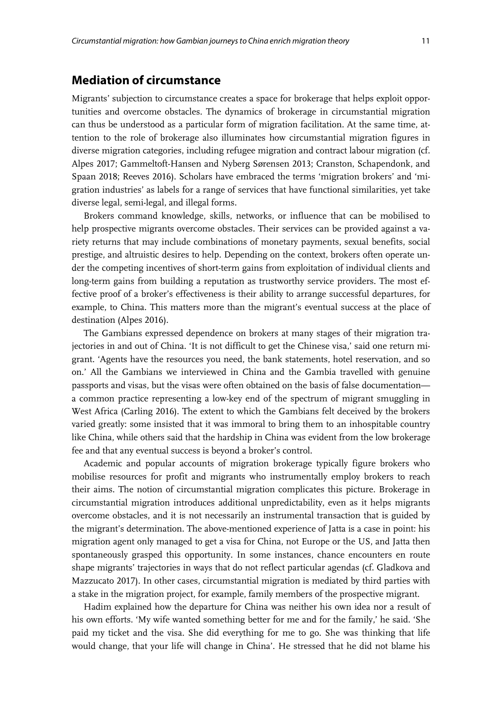## **Mediation of circumstance**

Migrants' subjection to circumstance creates a space for brokerage that helps exploit opportunities and overcome obstacles. The dynamics of brokerage in circumstantial migration can thus be understood as a particular form of migration facilitation. At the same time, attention to the role of brokerage also illuminates how circumstantial migration figures in diverse migration categories, including refugee migration and contract labour migration (cf. Alpes 2017; Gammeltoft-Hansen and Nyberg Sørensen 2013; Cranston, Schapendonk, and Spaan 2018; Reeves 2016). Scholars have embraced the terms 'migration brokers' and 'migration industries' as labels for a range of services that have functional similarities, yet take diverse legal, semi-legal, and illegal forms.

Brokers command knowledge, skills, networks, or influence that can be mobilised to help prospective migrants overcome obstacles. Their services can be provided against a variety returns that may include combinations of monetary payments, sexual benefits, social prestige, and altruistic desires to help. Depending on the context, brokers often operate under the competing incentives of short-term gains from exploitation of individual clients and long-term gains from building a reputation as trustworthy service providers. The most effective proof of a broker's effectiveness is their ability to arrange successful departures, for example, to China. This matters more than the migrant's eventual success at the place of destination (Alpes 2016).

The Gambians expressed dependence on brokers at many stages of their migration trajectories in and out of China. 'It is not difficult to get the Chinese visa,' said one return migrant. 'Agents have the resources you need, the bank statements, hotel reservation, and so on.' All the Gambians we interviewed in China and the Gambia travelled with genuine passports and visas, but the visas were often obtained on the basis of false documentation a common practice representing a low-key end of the spectrum of migrant smuggling in West Africa (Carling 2016). The extent to which the Gambians felt deceived by the brokers varied greatly: some insisted that it was immoral to bring them to an inhospitable country like China, while others said that the hardship in China was evident from the low brokerage fee and that any eventual success is beyond a broker's control.

Academic and popular accounts of migration brokerage typically figure brokers who mobilise resources for profit and migrants who instrumentally employ brokers to reach their aims. The notion of circumstantial migration complicates this picture. Brokerage in circumstantial migration introduces additional unpredictability, even as it helps migrants overcome obstacles, and it is not necessarily an instrumental transaction that is guided by the migrant's determination. The above-mentioned experience of Jatta is a case in point: his migration agent only managed to get a visa for China, not Europe or the US, and Jatta then spontaneously grasped this opportunity. In some instances, chance encounters en route shape migrants' trajectories in ways that do not reflect particular agendas (cf. Gladkova and Mazzucato 2017). In other cases, circumstantial migration is mediated by third parties with a stake in the migration project, for example, family members of the prospective migrant.

Hadim explained how the departure for China was neither his own idea nor a result of his own efforts. 'My wife wanted something better for me and for the family,' he said. 'She paid my ticket and the visa. She did everything for me to go. She was thinking that life would change, that your life will change in China'. He stressed that he did not blame his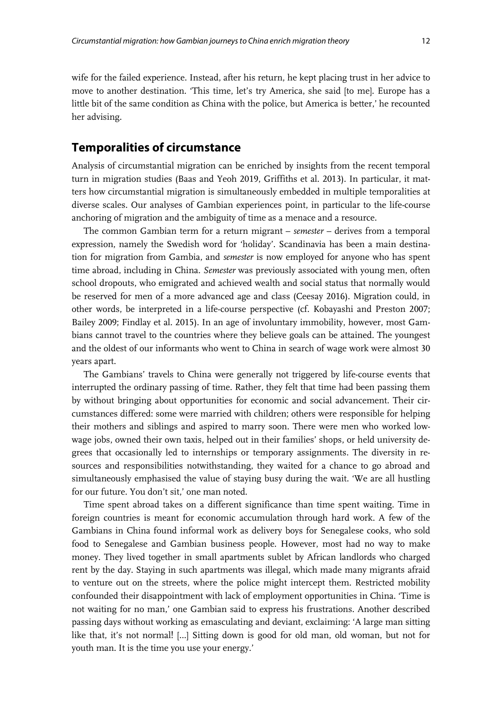wife for the failed experience. Instead, after his return, he kept placing trust in her advice to move to another destination. 'This time, let's try America, she said [to me]. Europe has a little bit of the same condition as China with the police, but America is better,' he recounted her advising.

## **Temporalities of circumstance**

Analysis of circumstantial migration can be enriched by insights from the recent temporal turn in migration studies (Baas and Yeoh 2019, Griffiths et al. 2013). In particular, it matters how circumstantial migration is simultaneously embedded in multiple temporalities at diverse scales. Our analyses of Gambian experiences point, in particular to the life-course anchoring of migration and the ambiguity of time as a menace and a resource.

The common Gambian term for a return migrant – *semester* – derives from a temporal expression, namely the Swedish word for 'holiday'. Scandinavia has been a main destination for migration from Gambia, and *semester* is now employed for anyone who has spent time abroad, including in China. *Semester* was previously associated with young men, often school dropouts, who emigrated and achieved wealth and social status that normally would be reserved for men of a more advanced age and class (Ceesay 2016). Migration could, in other words, be interpreted in a life-course perspective (cf. Kobayashi and Preston 2007; Bailey 2009; Findlay et al. 2015). In an age of involuntary immobility, however, most Gambians cannot travel to the countries where they believe goals can be attained. The youngest and the oldest of our informants who went to China in search of wage work were almost 30 years apart.

The Gambians' travels to China were generally not triggered by life-course events that interrupted the ordinary passing of time. Rather, they felt that time had been passing them by without bringing about opportunities for economic and social advancement. Their circumstances differed: some were married with children; others were responsible for helping their mothers and siblings and aspired to marry soon. There were men who worked lowwage jobs, owned their own taxis, helped out in their families' shops, or held university degrees that occasionally led to internships or temporary assignments. The diversity in resources and responsibilities notwithstanding, they waited for a chance to go abroad and simultaneously emphasised the value of staying busy during the wait. 'We are all hustling for our future. You don't sit,' one man noted.

Time spent abroad takes on a different significance than time spent waiting. Time in foreign countries is meant for economic accumulation through hard work. A few of the Gambians in China found informal work as delivery boys for Senegalese cooks, who sold food to Senegalese and Gambian business people. However, most had no way to make money. They lived together in small apartments sublet by African landlords who charged rent by the day. Staying in such apartments was illegal, which made many migrants afraid to venture out on the streets, where the police might intercept them. Restricted mobility confounded their disappointment with lack of employment opportunities in China. 'Time is not waiting for no man,' one Gambian said to express his frustrations. Another described passing days without working as emasculating and deviant, exclaiming: 'A large man sitting like that, it's not normal! […] Sitting down is good for old man, old woman, but not for youth man. It is the time you use your energy.'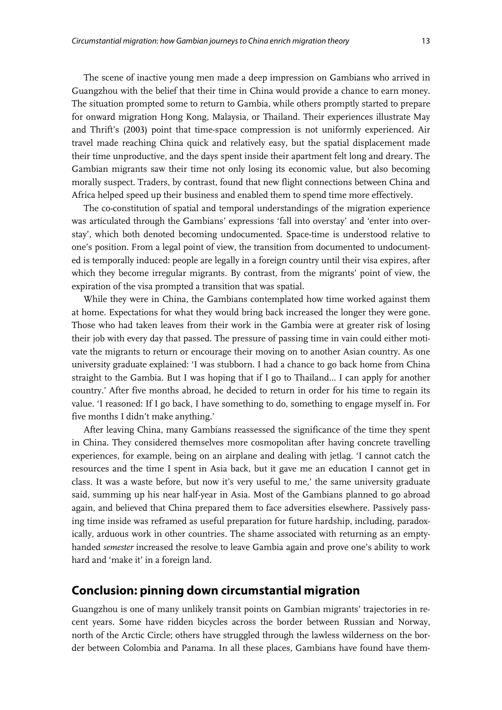The scene of inactive young men made a deep impression on Gambians who arrived in Guangzhou with the belief that their time in China would provide a chance to earn money. The situation prompted some to return to Gambia, while others promptly started to prepare for onward migration Hong Kong, Malaysia, or Thailand. Their experiences illustrate May and Thrift's (2003) point that time-space compression is not uniformly experienced. Air travel made reaching China quick and relatively easy, but the spatial displacement made their time unproductive, and the days spent inside their apartment felt long and dreary. The Gambian migrants saw their time not only losing its economic value, but also becoming morally suspect. Traders, by contrast, found that new flight connections between China and Africa helped speed up their business and enabled them to spend time more effectively.

The co-constitution of spatial and temporal understandings of the migration experience was articulated through the Gambians' expressions 'fall into overstay' and 'enter into overstay', which both denoted becoming undocumented. Space-time is understood relative to one's position. From a legal point of view, the transition from documented to undocumented is temporally induced: people are legally in a foreign country until their visa expires, after which they become irregular migrants. By contrast, from the migrants' point of view, the expiration of the visa prompted a transition that was spatial.

While they were in China, the Gambians contemplated how time worked against them at home. Expectations for what they would bring back increased the longer they were gone. Those who had taken leaves from their work in the Gambia were at greater risk of losing their job with every day that passed. The pressure of passing time in vain could either motivate the migrants to return or encourage their moving on to another Asian country. As one university graduate explained: 'I was stubborn. I had a chance to go back home from China straight to the Gambia. But I was hoping that if I go to Thailand… I can apply for another country.' After five months abroad, he decided to return in order for his time to regain its value. 'I reasoned: If I go back, I have something to do, something to engage myself in. For five months I didn't make anything.'

After leaving China, many Gambians reassessed the significance of the time they spent in China. They considered themselves more cosmopolitan after having concrete travelling experiences, for example, being on an airplane and dealing with jetlag. 'I cannot catch the resources and the time I spent in Asia back, but it gave me an education I cannot get in class. It was a waste before, but now it's very useful to me,' the same university graduate said, summing up his near half-year in Asia. Most of the Gambians planned to go abroad again, and believed that China prepared them to face adversities elsewhere. Passively passing time inside was reframed as useful preparation for future hardship, including, paradoxically, arduous work in other countries. The shame associated with returning as an emptyhanded *semester* increased the resolve to leave Gambia again and prove one's ability to work hard and 'make it' in a foreign land.

## **Conclusion: pinning down circumstantial migration**

Guangzhou is one of many unlikely transit points on Gambian migrants' trajectories in recent years. Some have ridden bicycles across the border between Russian and Norway, north of the Arctic Circle; others have struggled through the lawless wilderness on the border between Colombia and Panama. In all these places, Gambians have found have them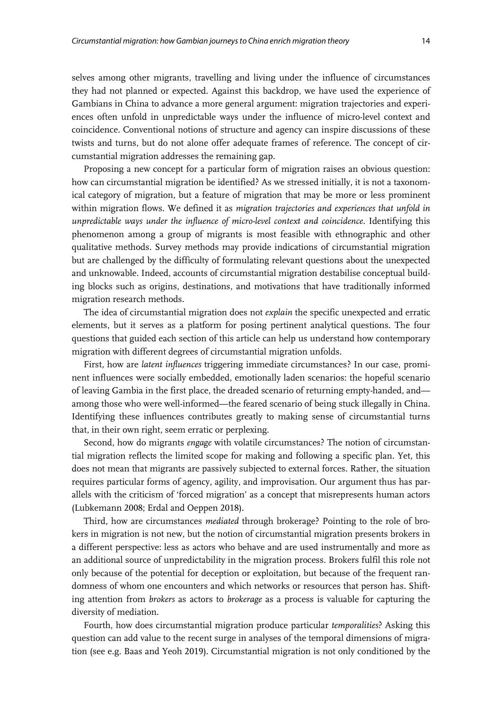selves among other migrants, travelling and living under the influence of circumstances they had not planned or expected. Against this backdrop, we have used the experience of Gambians in China to advance a more general argument: migration trajectories and experiences often unfold in unpredictable ways under the influence of micro-level context and coincidence. Conventional notions of structure and agency can inspire discussions of these twists and turns, but do not alone offer adequate frames of reference. The concept of circumstantial migration addresses the remaining gap.

Proposing a new concept for a particular form of migration raises an obvious question: how can circumstantial migration be identified? As we stressed initially, it is not a taxonomical category of migration, but a feature of migration that may be more or less prominent within migration flows. We defined it as *migration trajectories and experiences that unfold in unpredictable ways under the influence of micro-level context and coincidence*. Identifying this phenomenon among a group of migrants is most feasible with ethnographic and other qualitative methods. Survey methods may provide indications of circumstantial migration but are challenged by the difficulty of formulating relevant questions about the unexpected and unknowable. Indeed, accounts of circumstantial migration destabilise conceptual building blocks such as origins, destinations, and motivations that have traditionally informed migration research methods.

The idea of circumstantial migration does not *explain* the specific unexpected and erratic elements, but it serves as a platform for posing pertinent analytical questions. The four questions that guided each section of this article can help us understand how contemporary migration with different degrees of circumstantial migration unfolds.

First, how are *latent influences* triggering immediate circumstances? In our case, prominent influences were socially embedded, emotionally laden scenarios: the hopeful scenario of leaving Gambia in the first place, the dreaded scenario of returning empty-handed, and among those who were well-informed—the feared scenario of being stuck illegally in China. Identifying these influences contributes greatly to making sense of circumstantial turns that, in their own right, seem erratic or perplexing.

Second, how do migrants *engage* with volatile circumstances? The notion of circumstantial migration reflects the limited scope for making and following a specific plan. Yet, this does not mean that migrants are passively subjected to external forces. Rather, the situation requires particular forms of agency, agility, and improvisation. Our argument thus has parallels with the criticism of 'forced migration' as a concept that misrepresents human actors (Lubkemann 2008; Erdal and Oeppen 2018).

Third, how are circumstances *mediated* through brokerage? Pointing to the role of brokers in migration is not new, but the notion of circumstantial migration presents brokers in a different perspective: less as actors who behave and are used instrumentally and more as an additional source of unpredictability in the migration process. Brokers fulfil this role not only because of the potential for deception or exploitation, but because of the frequent randomness of whom one encounters and which networks or resources that person has. Shifting attention from *brokers* as actors to *brokerage* as a process is valuable for capturing the diversity of mediation.

Fourth, how does circumstantial migration produce particular *temporalities*? Asking this question can add value to the recent surge in analyses of the temporal dimensions of migration (see e.g. Baas and Yeoh 2019). Circumstantial migration is not only conditioned by the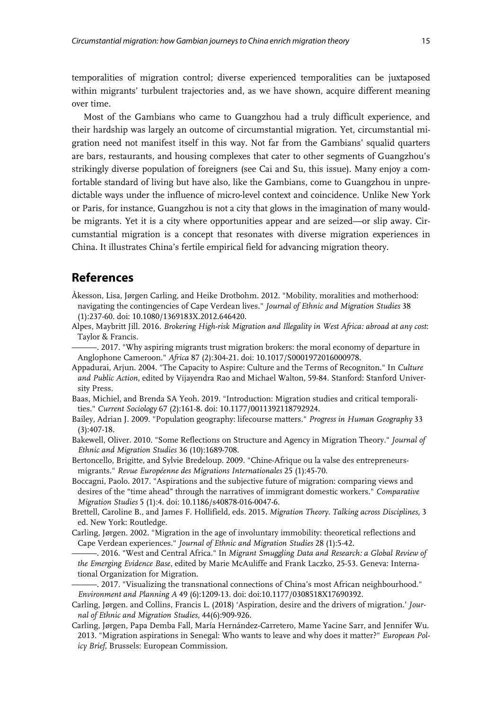temporalities of migration control; diverse experienced temporalities can be juxtaposed within migrants' turbulent trajectories and, as we have shown, acquire different meaning over time.

Most of the Gambians who came to Guangzhou had a truly difficult experience, and their hardship was largely an outcome of circumstantial migration. Yet, circumstantial migration need not manifest itself in this way. Not far from the Gambians' squalid quarters are bars, restaurants, and housing complexes that cater to other segments of Guangzhou's strikingly diverse population of foreigners (see Cai and Su, this issue). Many enjoy a comfortable standard of living but have also, like the Gambians, come to Guangzhou in unpredictable ways under the influence of micro-level context and coincidence. Unlike New York or Paris, for instance, Guangzhou is not a city that glows in the imagination of many wouldbe migrants. Yet it is a city where opportunities appear and are seized—or slip away. Circumstantial migration is a concept that resonates with diverse migration experiences in China. It illustrates China's fertile empirical field for advancing migration theory.

## **References**

- Åkesson, Lisa, Jørgen Carling, and Heike Drotbohm. 2012. "Mobility, moralities and motherhood: navigating the contingencies of Cape Verdean lives." *Journal of Ethnic and Migration Studies* 38 (1):237-60. doi: 10.1080/1369183X.2012.646420.
- Alpes, Maybritt Jill. 2016. *Brokering High-risk Migration and Illegality in West Africa: abroad at any cost*: Taylor & Francis.

———. 2017. "Why aspiring migrants trust migration brokers: the moral economy of departure in Anglophone Cameroon." *Africa* 87 (2):304-21. doi: 10.1017/S0001972016000978.

- Appadurai, Arjun. 2004. "The Capacity to Aspire: Culture and the Terms of Recogniton." In *Culture and Public Action*, edited by Vijayendra Rao and Michael Walton, 59-84. Stanford: Stanford University Press.
- Baas, Michiel, and Brenda SA Yeoh. 2019. "Introduction: Migration studies and critical temporalities." *Current Sociology* 67 (2):161-8. doi: 10.1177/0011392118792924.
- Bailey, Adrian J. 2009. "Population geography: lifecourse matters." *Progress in Human Geography* 33 (3):407-18.
- Bakewell, Oliver. 2010. "Some Reflections on Structure and Agency in Migration Theory." *Journal of Ethnic and Migration Studies* 36 (10):1689-708.
- Bertoncello, Brigitte, and Sylvie Bredeloup. 2009. "Chine-Afrique ou la valse des entrepreneursmigrants." *Revue Européenne des Migrations Internationales* 25 (1):45-70.
- Boccagni, Paolo. 2017. "Aspirations and the subjective future of migration: comparing views and desires of the "time ahead" through the narratives of immigrant domestic workers." *Comparative Migration Studies* 5 (1):4. doi: 10.1186/s40878-016-0047-6.
- Brettell, Caroline B., and James F. Hollifield, eds. 2015. *Migration Theory. Talking across Disciplines*, 3 ed. New York: Routledge.
- Carling, Jørgen. 2002. "Migration in the age of involuntary immobility: theoretical reflections and Cape Verdean experiences." *Journal of Ethnic and Migration Studies* 28 (1):5-42.
- ———. 2016. "West and Central Africa." In *Migrant Smuggling Data and Research: a Global Review of the Emerging Evidence Base*, edited by Marie McAuliffe and Frank Laczko, 25-53. Geneva: International Organization for Migration.
- ———. 2017. "Visualizing the transnational connections of China's most African neighbourhood." *Environment and Planning A* 49 (6):1209-13. doi: doi:10.1177/0308518X17690392.
- Carling, Jørgen. and Collins, Francis L. (2018) 'Aspiration, desire and the drivers of migration.' *Journal of Ethnic and Migration Studies,* 44(6):909-926.
- Carling, Jørgen, Papa Demba Fall, María Hernández-Carretero, Mame Yacine Sarr, and Jennifer Wu. 2013. "Migration aspirations in Senegal: Who wants to leave and why does it matter?" *European Policy Brief*, Brussels: European Commission.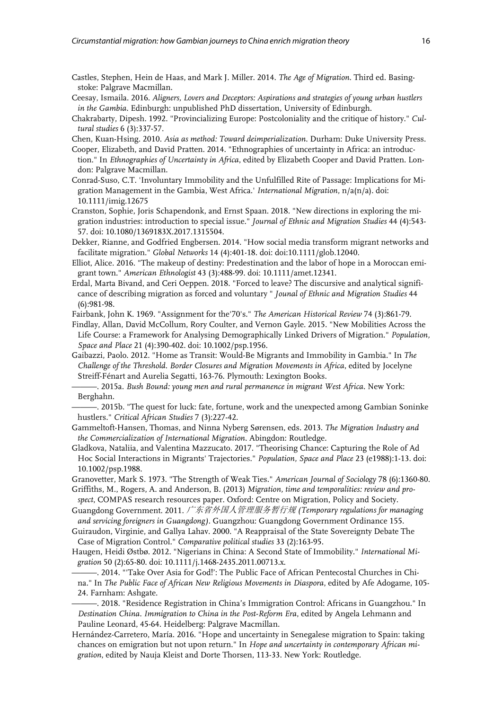- Castles, Stephen, Hein de Haas, and Mark J. Miller. 2014. *The Age of Migration*. Third ed. Basingstoke: Palgrave Macmillan.
- Ceesay, Ismaila. 2016. *Aligners, Lovers and Deceptors: Aspirations and strategies of young urban hustlers in the Gambia*. Edinburgh: unpublished PhD dissertation, University of Edinburgh.
- Chakrabarty, Dipesh. 1992. "Provincializing Europe: Postcoloniality and the critique of history." *Cultural studies* 6 (3):337-57.
- Chen, Kuan-Hsing. 2010. *Asia as method: Toward deimperialization*. Durham: Duke University Press.
- Cooper, Elizabeth, and David Pratten. 2014. "Ethnographies of uncertainty in Africa: an introduction." In *Ethnographies of Uncertainty in Africa*, edited by Elizabeth Cooper and David Pratten. London: Palgrave Macmillan.
- Conrad-Suso, C.T. 'Involuntary Immobility and the Unfulfilled Rite of Passage: Implications for Migration Management in the Gambia, West Africa.' *International Migration,* n/a(n/a). doi: 10.1111/imig.12675
- Cranston, Sophie, Joris Schapendonk, and Ernst Spaan. 2018. "New directions in exploring the migration industries: introduction to special issue." *Journal of Ethnic and Migration Studies* 44 (4):543- 57. doi: 10.1080/1369183X.2017.1315504.
- Dekker, Rianne, and Godfried Engbersen. 2014. "How social media transform migrant networks and facilitate migration." *Global Networks* 14 (4):401-18. doi: doi:10.1111/glob.12040.
- Elliot, Alice. 2016. "The makeup of destiny: Predestination and the labor of hope in a Moroccan emigrant town." *American Ethnologist* 43 (3):488-99. doi: 10.1111/amet.12341.
- Erdal, Marta Bivand, and Ceri Oeppen. 2018. "Forced to leave? The discursive and analytical significance of describing migration as forced and voluntary " *Jounal of Ethnic and Migration Studies* 44 (6):981-98.
- Fairbank, John K. 1969. "Assignment for the'70's." *The American Historical Review* 74 (3):861-79.
- Findlay, Allan, David McCollum, Rory Coulter, and Vernon Gayle. 2015. "New Mobilities Across the Life Course: a Framework for Analysing Demographically Linked Drivers of Migration." *Population, Space and Place* 21 (4):390-402. doi: 10.1002/psp.1956.
- Gaibazzi, Paolo. 2012. "Home as Transit: Would-Be Migrants and Immobility in Gambia." In *The Challenge of the Threshold. Border Closures and Migration Movements in Africa*, edited by Jocelyne Streiff-Fénart and Aurelia Segatti, 163-76. Plymouth: Lexington Books.
- ———. 2015a. *Bush Bound: young men and rural permanence in migrant West Africa*. New York: Berghahn.
- ———. 2015b. "The quest for luck: fate, fortune, work and the unexpected among Gambian Soninke hustlers." *Critical African Studies* 7 (3):227-42.
- Gammeltoft-Hansen, Thomas, and Ninna Nyberg Sørensen, eds. 2013. *The Migration Industry and the Commercialization of International Migration*. Abingdon: Routledge.
- Gladkova, Nataliia, and Valentina Mazzucato. 2017. "Theorising Chance: Capturing the Role of Ad Hoc Social Interactions in Migrants' Trajectories." *Population, Space and Place* 23 (e1988):1-13. doi: 10.1002/psp.1988.
- Granovetter, Mark S. 1973. "The Strength of Weak Ties." *American Journal of Sociology* 78 (6):1360-80.
- Griffiths, M., Rogers, A. and Anderson, B. (2013) *Migration, time and temporalities: review and prospect*, COMPAS research resources paper. Oxford: Centre on Migration, Policy and Society.
- Guangdong Government. 2011. 广东省外国人管理服务暂行规 *(Temporary regulations for managing and servicing foreigners in Guangdong).* Guangzhou: Guangdong Government Ordinance 155.
- Guiraudon, Virginie, and Gallya Lahav. 2000. "A Reappraisal of the State Sovereignty Debate The Case of Migration Control." *Comparative political studies* 33 (2):163-95.
- Haugen, Heidi Østbø. 2012. "Nigerians in China: A Second State of Immobility." *International Migration* 50 (2):65-80. doi: 10.1111/j.1468-2435.2011.00713.x.
- ———. 2014. "'Take Over Asia for God!': The Public Face of African Pentecostal Churches in China." In *The Public Face of African New Religious Movements in Diaspora*, edited by Afe Adogame, 105- 24. Farnham: Ashgate.
- ———. 2018. "Residence Registration in China's Immigration Control: Africans in Guangzhou." In *Destination China. Immigration to China in the Post-Reform Era*, edited by Angela Lehmann and Pauline Leonard, 45-64. Heidelberg: Palgrave Macmillan.
- Hernández-Carretero, María. 2016. "Hope and uncertainty in Senegalese migration to Spain: taking chances on emigration but not upon return." In *Hope and uncertainty in contemporary African migration*, edited by Nauja Kleist and Dorte Thorsen, 113-33. New York: Routledge.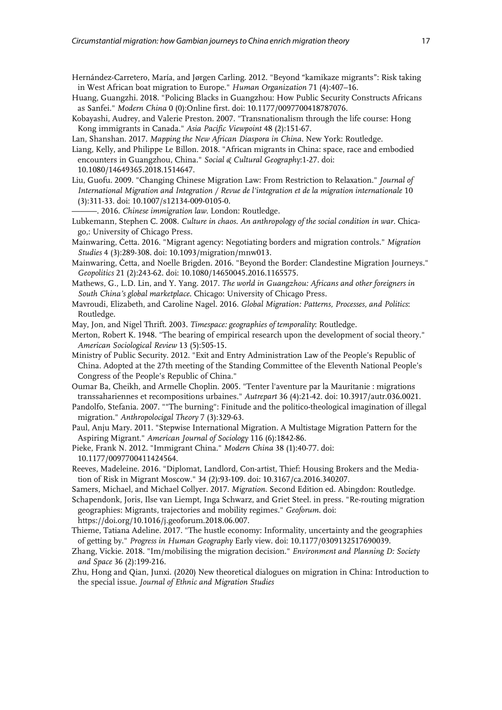- Hernández-Carretero, María, and Jørgen Carling. 2012. "Beyond "kamikaze migrants": Risk taking in West African boat migration to Europe." *Human Organization* 71 (4):407–16.
- Huang, Guangzhi. 2018. "Policing Blacks in Guangzhou: How Public Security Constructs Africans as Sanfei." *Modern China* 0 (0):Online first. doi: 10.1177/0097700418787076.
- Kobayashi, Audrey, and Valerie Preston. 2007. "Transnationalism through the life course: Hong Kong immigrants in Canada." *Asia Pacific Viewpoint* 48 (2):151-67.
- Lan, Shanshan. 2017. *Mapping the New African Diaspora in China*. New York: Routledge.
- Liang, Kelly, and Philippe Le Billon. 2018. "African migrants in China: space, race and embodied encounters in Guangzhou, China." *Social & Cultural Geography*:1-27. doi:
- 10.1080/14649365.2018.1514647.
- Liu, Guofu. 2009. "Changing Chinese Migration Law: From Restriction to Relaxation." *Journal of International Migration and Integration / Revue de l'integration et de la migration internationale* 10 (3):311-33. doi: 10.1007/s12134-009-0105-0.
- ———. 2016. *Chinese immigration law*. London: Routledge.
- Lubkemann, Stephen C. 2008. *Culture in chaos. An anthropology of the social condition in war*. Chicago,: University of Chicago Press.
- Mainwaring, Ċetta. 2016. "Migrant agency: Negotiating borders and migration controls." *Migration Studies* 4 (3):289-308. doi: 10.1093/migration/mnw013.
- Mainwaring, Ċetta, and Noelle Brigden. 2016. "Beyond the Border: Clandestine Migration Journeys." *Geopolitics* 21 (2):243-62. doi: 10.1080/14650045.2016.1165575.
- Mathews, G., L.D. Lin, and Y. Yang. 2017. *The world in Guangzhou: Africans and other foreigners in South China's global marketplace*. Chicago: University of Chicago Press.
- Mavroudi, Elizabeth, and Caroline Nagel. 2016. *Global Migration: Patterns, Processes, and Politics*: Routledge.
- May, Jon, and Nigel Thrift. 2003. *Timespace: geographies of temporality*: Routledge.
- Merton, Robert K. 1948. "The bearing of empirical research upon the development of social theory." *American Sociological Review* 13 (5):505-15.
- Ministry of Public Security. 2012. "Exit and Entry Administration Law of the People's Republic of China. Adopted at the 27th meeting of the Standing Committee of the Eleventh National People's Congress of the People's Republic of China."
- Oumar Ba, Cheikh, and Armelle Choplin. 2005. "Tenter l'aventure par la Mauritanie : migrations transsahariennes et recompositions urbaines." *Autrepart* 36 (4):21-42. doi: 10.3917/autr.036.0021.
- Pandolfo, Stefania. 2007. ""The burning": Finitude and the politico-theological imagination of illegal migration." *Anthropolocigal Theory* 7 (3):329-63.
- Paul, Anju Mary. 2011. "Stepwise International Migration. A Multistage Migration Pattern for the Aspiring Migrant." *American Journal of Sociology* 116 (6):1842-86.
- Pieke, Frank N. 2012. "Immigrant China." *Modern China* 38 (1):40-77. doi: 10.1177/0097700411424564.
- Reeves, Madeleine. 2016. "Diplomat, Landlord, Con-artist, Thief: Housing Brokers and the Mediation of Risk in Migrant Moscow." 34 (2):93-109. doi: 10.3167/ca.2016.340207.
- Samers, Michael, and Michael Collyer. 2017. *Migration*. Second Edition ed. Abingdon: Routledge.
- Schapendonk, Joris, Ilse van Liempt, Inga Schwarz, and Griet Steel. in press. "Re-routing migration geographies: Migrants, trajectories and mobility regimes." *Geoforum*. doi: https://doi.org/10.1016/j.geoforum.2018.06.007.
- Thieme, Tatiana Adeline. 2017. "The hustle economy: Informality, uncertainty and the geographies of getting by." *Progress in Human Geography* Early view. doi: 10.1177/0309132517690039.
- Zhang, Vickie. 2018. "Im/mobilising the migration decision." *Environment and Planning D: Society and Space* 36 (2):199-216.
- Zhu, Hong and Qian, Junxi. (2020) New theoretical dialogues on migration in China: Introduction to the special issue. *Journal of Ethnic and Migration Studies*